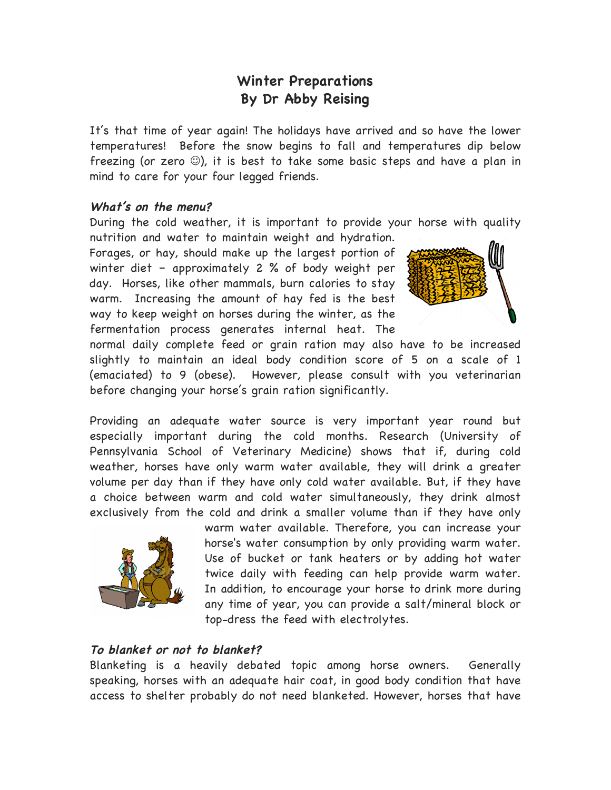# **Winter Preparations By Dr Abby Reising**

It's that time of year again! The holidays have arrived and so have the lower temperatures! Before the snow begins to fall and temperatures dip below freezing (or zero  $\circledcirc$ ), it is best to take some basic steps and have a plan in mind to care for your four legged friends.

### **What's on the menu?**

During the cold weather, it is important to provide your horse with quality

nutrition and water to maintain weight and hydration. Forages, or hay, should make up the largest portion of winter diet – approximately 2 % of body weight per day. Horses, like other mammals, burn calories to stay warm. Increasing the amount of hay fed is the best way to keep weight on horses during the winter, as the fermentation process generates internal heat. The



normal daily complete feed or grain ration may also have to be increased slightly to maintain an ideal body condition score of 5 on a scale of 1 (emaciated) to 9 (obese). However, please consult with you veterinarian before changing your horse's grain ration significantly.

Providing an adequate water source is very important year round but especially important during the cold months. Research (University of Pennsylvania School of Veterinary Medicine) shows that if, during cold weather, horses have only warm water available, they will drink a greater volume per day than if they have only cold water available. But, if they have a choice between warm and cold water simultaneously, they drink almost exclusively from the cold and drink a smaller volume than if they have only



warm water available. Therefore, you can increase your horse's water consumption by only providing warm water. Use of bucket or tank heaters or by adding hot water twice daily with feeding can help provide warm water. In addition, to encourage your horse to drink more during any time of year, you can provide a salt/mineral block or top-dress the feed with electrolytes.

#### **To blanket or not to blanket?**

Blanketing is a heavily debated topic among horse owners. Generally speaking, horses with an adequate hair coat, in good body condition that have access to shelter probably do not need blanketed. However, horses that have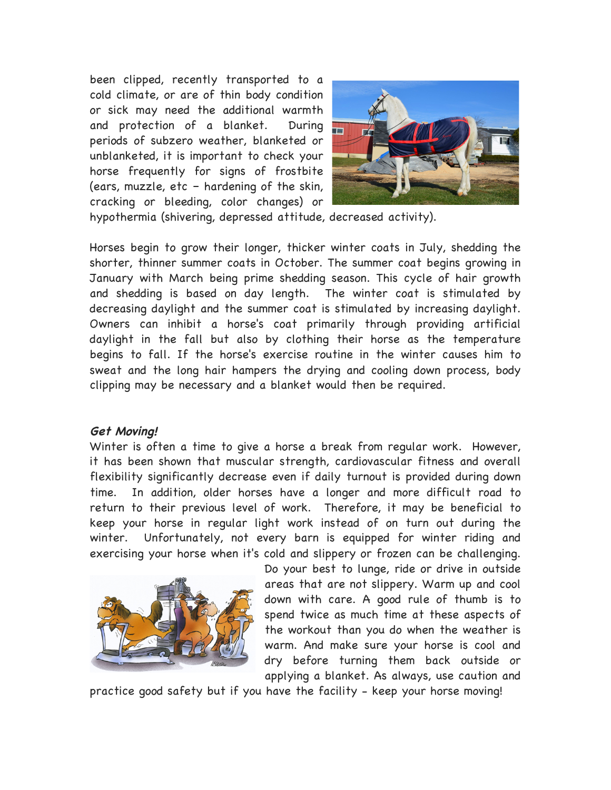been clipped, recently transported to a cold climate, or are of thin body condition or sick may need the additional warmth and protection of a blanket. During periods of subzero weather, blanketed or unblanketed, it is important to check your horse frequently for signs of frostbite (ears, muzzle, etc – hardening of the skin, cracking or bleeding, color changes) or



hypothermia (shivering, depressed attitude, decreased activity).

Horses begin to grow their longer, thicker winter coats in July, shedding the shorter, thinner summer coats in October. The summer coat begins growing in January with March being prime shedding season. This cycle of hair growth and shedding is based on day length. The winter coat is stimulated by decreasing daylight and the summer coat is stimulated by increasing daylight. Owners can inhibit a horse's coat primarily through providing artificial daylight in the fall but also by clothing their horse as the temperature begins to fall. If the horse's exercise routine in the winter causes him to sweat and the long hair hampers the drying and cooling down process, body clipping may be necessary and a blanket would then be required.

#### **Get Moving!**

Winter is often a time to give a horse a break from regular work. However, it has been shown that muscular strength, cardiovascular fitness and overall flexibility significantly decrease even if daily turnout is provided during down time. In addition, older horses have a longer and more difficult road to return to their previous level of work. Therefore, it may be beneficial to keep your horse in regular light work instead of on turn out during the winter. Unfortunately, not every barn is equipped for winter riding and exercising your horse when it's cold and slippery or frozen can be challenging.



Do your best to lunge, ride or drive in outside areas that are not slippery. Warm up and cool down with care. A good rule of thumb is to spend twice as much time at these aspects of the workout than you do when the weather is warm. And make sure your horse is cool and dry before turning them back outside or applying a blanket. As always, use caution and

practice good safety but if you have the facility - keep your horse moving!